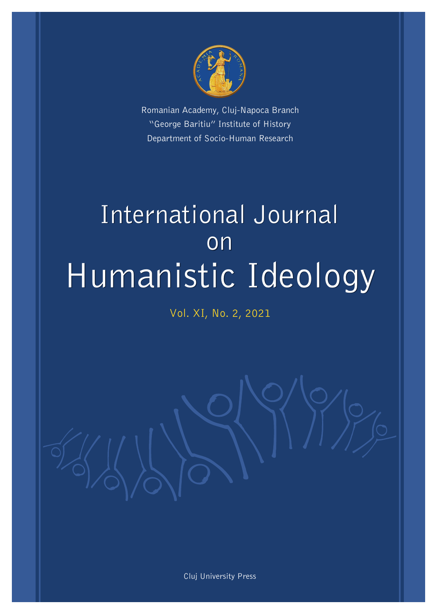

Romanian Academy, Cluj-Napoca Branch "George Baritiu" Institute of History Department of Socio-Human Research

# International Journal on Humanistic Ideology

Vol. XI, No. 2, 2021

Cluj University Press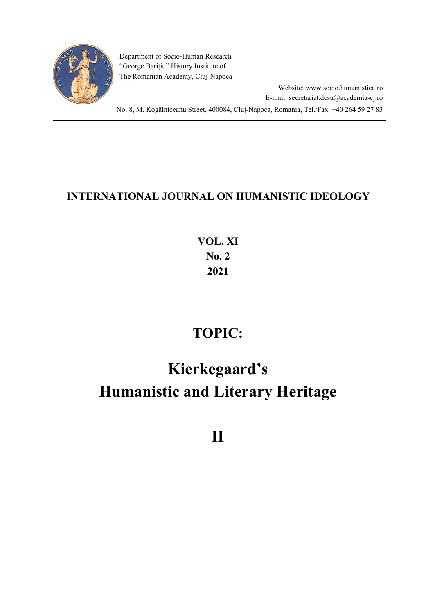

Department of Socio-Human Research "George Barițiu" History Institute of The Romanian Academy, Cluj-Napoca

> Website: www.socio.humanistica.ro E-mail: secretariat.dcsu@academia-cj.ro

No. 8, M. Kogălniceanu Street, 400084, Cluj-Napoca, Romania, Tel./Fax: +40 264 59 27 83

## **INTERNATIONAL JOURNAL ON HUMANISTIC IDEOLOGY**

**VOL. XI No. 2 2021**

# **TOPIC:**

# **Kierkegaard's Humanistic and Literary Heritage**

**II**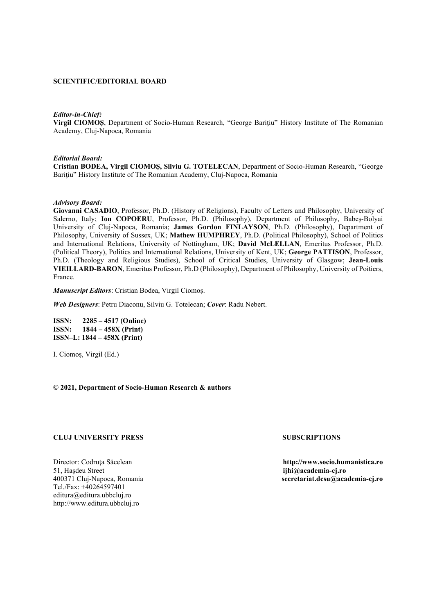#### **SCIENTIFIC/EDITORIAL BOARD**

#### *Editor-in-Chief:*

**Virgil CIOMOȘ**, Department of Socio-Human Research, "George Bariţiu" History Institute of The Romanian Academy, Cluj-Napoca, Romania

#### *Editorial Board:*

**Cristian BODEA, Virgil CIOMOȘ, Silviu G. TOTELECAN**, Department of Socio-Human Research, "George Bariţiu" History Institute of The Romanian Academy, Cluj-Napoca, Romania

#### *Advisory Board:*

**Giovanni CASADIO**, Professor, Ph.D. (History of Religions), Faculty of Letters and Philosophy, University of Salerno, Italy; **Ion COPOERU**, Professor, Ph.D. (Philosophy), Department of Philosophy, Babeș-Bolyai University of Cluj-Napoca, Romania; **James Gordon FINLAYSON**, Ph.D. (Philosophy), Department of Philosophy, University of Sussex, UK; **Mathew HUMPHREY**, Ph.D. (Political Philosophy), School of Politics and International Relations, University of Nottingham, UK; **David McLELLAN**, Emeritus Professor, Ph.D. (Political Theory), Politics and International Relations, University of Kent, UK; **George PATTISON**, Professor, Ph.D. (Theology and Religious Studies), School of Critical Studies, University of Glasgow; **Jean-Louis VIEILLARD-BARON**, Emeritus Professor, Ph.D (Philosophy), Department of Philosophy, University of Poitiers, France.

*Manuscript Editors*: Cristian Bodea, Virgil Ciomoș.

*Web Designers*: Petru Diaconu, Silviu G. Totelecan; *Cover*: Radu Nebert.

**ISSN: 2285 – 4517 (Online) ISSN: 1844 – 458X (Print) ISSN–L: 1844 – 458X (Print)**

I. Ciomoș, Virgil (Ed.)

**© 2021, Department of Socio-Human Research & authors**

#### **CLUJ UNIVERSITY PRESS SUBSCRIPTIONS**

51, Hașdeu Street **ijhi@academia-cj.ro** Tel./Fax: +40264597401 editura@editura.ubbcluj.ro http://www.editura.ubbcluj.ro

Director: Codruţa Săcelean **http://www.socio.humanistica.ro** 400371 Cluj-Napoca, Romania **secretariat.dcsu@academia-cj.ro**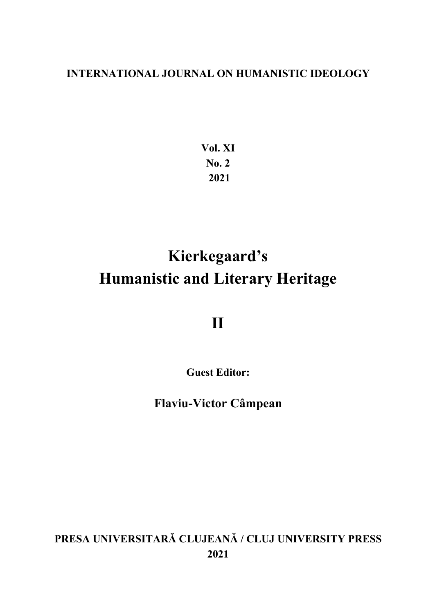### **INTERNATIONAL JOURNAL ON HUMANISTIC IDEOLOGY**

**Vol. XI No. 2 2021**

# **Kierkegaard's Humanistic and Literary Heritage**

**II**

**Guest Editor:**

**Flaviu-Victor Câmpean**

**PRESA UNIVERSITARĂ CLUJEANĂ / CLUJ UNIVERSITY PRESS 2021**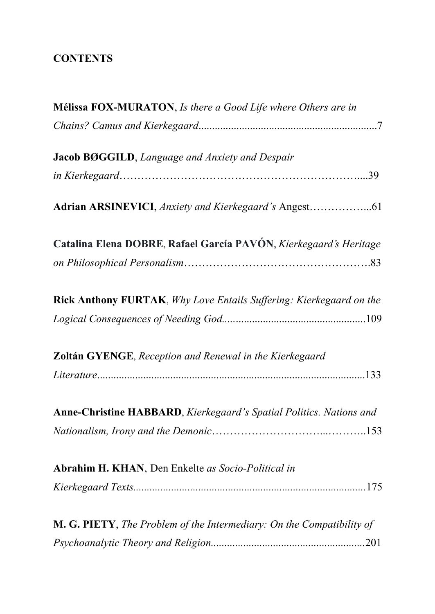## **CONTENTS**